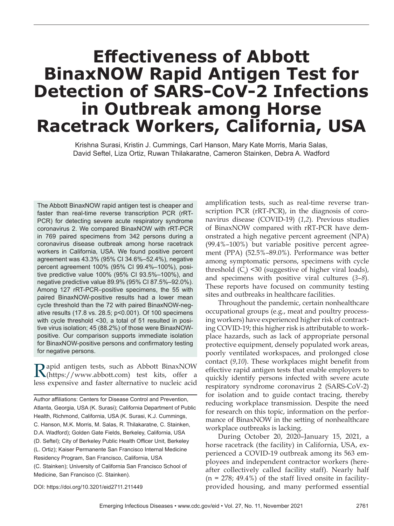## **Eff ectiveness of Abbott BinaxNOW Rapid Antigen Test for Detection of SARS-CoV-2 Infections in Outbreak among Horse Racetrack Workers, California, USA**

Krishna Surasi, Kristin J. Cummings, Carl Hanson, Mary Kate Morris, Maria Salas, David Seftel, Liza Ortiz, Ruwan Thilakaratne, Cameron Stainken, Debra A. Wadford

The Abbott BinaxNOW rapid antigen test is cheaper and faster than real-time reverse transcription PCR (rRT-PCR) for detecting severe acute respiratory syndrome coronavirus 2. We compared BinaxNOW with rRT-PCR in 769 paired specimens from 342 persons during a coronavirus disease outbreak among horse racetrack workers in California, USA. We found positive percent agreement was 43.3% (95% CI 34.6%–52.4%), negative percent agreement 100% (95% CI 99.4%–100%), positive predictive value 100% (95% CI 93.5%–100%), and negative predictive value 89.9% (95% CI 87.5%–92.0%). Among 127 rRT-PCR–positive specimens, the 55 with paired BinaxNOW-positive results had a lower mean cycle threshold than the 72 with paired BinaxNOW-negative results (17.8 vs. 28.5; p<0.001). Of 100 specimens with cycle threshold <30, a total of 51 resulted in positive virus isolation; 45 (88.2%) of those were BinaxNOWpositive. Our comparison supports immediate isolation for BinaxNOW-positive persons and confirmatory testing for negative persons.

Rapid antigen tests, such as Abbott BinaxNOW (https://www.abbott.com) test kits, offer a less expensive and faster alternative to nucleic acid

Author affiliations: Centers for Disease Control and Prevention, Atlanta, Georgia, USA (K. Surasi); California Department of Public Health, Richmond, California, USA (K. Surasi, K.J. Cummings, C. Hanson, M.K. Morris, M. Salas, R. Thilakaratne, C. Stainken, D.A. Wadford); Golden Gate Fields, Berkeley, California, USA (D. Seftel); City of Berkeley Public Health Officer Unit, Berkeley (L. Ortiz); Kaiser Permanente San Francisco Internal Medicine Residency Program, San Francisco, California, USA (C. Stainken); University of California San Francisco School of Medicine, San Francisco (C. Stainken).

amplification tests, such as real-time reverse transcription PCR (rRT-PCR), in the diagnosis of coronavirus disease (COVID-19) (*1*,*2*). Previous studies of BinaxNOW compared with rRT-PCR have demonstrated a high negative percent agreement (NPA) (99.4%–100%) but variable positive percent agreement (PPA) (52.5%–89.0%). Performance was better among symptomatic persons, specimens with cycle threshold  $(C_t)$  <30 (suggestive of higher viral loads), and specimens with positive viral cultures (*3*–*8*). These reports have focused on community testing sites and outbreaks in healthcare facilities.

Throughout the pandemic, certain nonhealthcare occupational groups (e.g., meat and poultry processing workers) have experienced higher risk of contracting COVID-19; this higher risk is attributable to workplace hazards, such as lack of appropriate personal protective equipment, densely populated work areas, poorly ventilated workspaces, and prolonged close contact (9,10). These workplaces might benefit from effective rapid antigen tests that enable employers to quickly identify persons infected with severe acute respiratory syndrome coronavirus 2 (SARS-CoV-2) for isolation and to guide contact tracing, thereby reducing workplace transmission. Despite the need for research on this topic, information on the performance of BinaxNOW in the setting of nonhealthcare workplace outbreaks is lacking.

During October 20, 2020–January 15, 2021, a horse racetrack (the facility) in California, USA, experienced a COVID-19 outbreak among its 563 employees and independent contractor workers (hereafter collectively called facility staff). Nearly half  $(n = 278; 49.4\%)$  of the staff lived onsite in facilityprovided housing, and many performed essential

DOI: https://doi.org/10.3201/eid2711.211449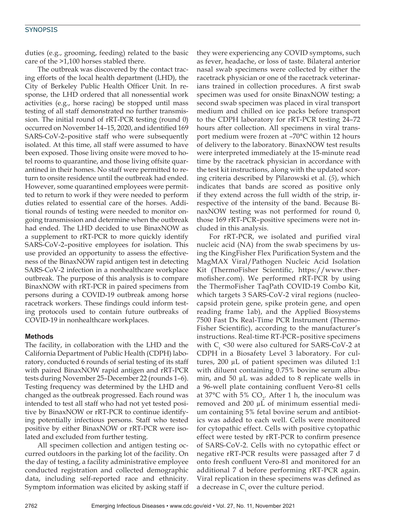#### **SYNOPSIS**

duties (e.g., grooming, feeding) related to the basic care of the >1,100 horses stabled there.

The outbreak was discovered by the contact tracing efforts of the local health department (LHD), the City of Berkeley Public Health Officer Unit. In response, the LHD ordered that all nonessential work activities (e.g., horse racing) be stopped until mass testing of all staff demonstrated no further transmission. The initial round of rRT-PCR testing (round 0) occurred on November 14–15, 2020, and identified 169 SARS-CoV-2–positive staff who were subsequently isolated. At this time, all staff were assumed to have been exposed. Those living onsite were moved to hotel rooms to quarantine, and those living offsite quarantined in their homes. No staff were permitted to return to onsite residence until the outbreak had ended. However, some quarantined employees were permitted to return to work if they were needed to perform duties related to essential care of the horses. Additional rounds of testing were needed to monitor ongoing transmission and determine when the outbreak had ended. The LHD decided to use BinaxNOW as a supplement to rRT-PCR to more quickly identify SARS-CoV-2–positive employees for isolation. This use provided an opportunity to assess the effectiveness of the BinaxNOW rapid antigen test in detecting SARS-CoV-2 infection in a nonhealthcare workplace outbreak. The purpose of this analysis is to compare BinaxNOW with rRT-PCR in paired specimens from persons during a COVID-19 outbreak among horse racetrack workers. These findings could inform testing protocols used to contain future outbreaks of COVID-19 in nonhealthcare workplaces.

#### **Methods**

The facility, in collaboration with the LHD and the California Department of Public Health (CDPH) laboratory, conducted 6 rounds of serial testing of its staff with paired BinaxNOW rapid antigen and rRT-PCR tests during November 25–December 22 (rounds 1–6). Testing frequency was determined by the LHD and changed as the outbreak progressed. Each round was intended to test all staff who had not yet tested positive by BinaxNOW or rRT-PCR to continue identifying potentially infectious persons. Staff who tested positive by either BinaxNOW or rRT-PCR were isolated and excluded from further testing.

All specimen collection and antigen testing occurred outdoors in the parking lot of the facility. On the day of testing, a facility administrative employee conducted registration and collected demographic data, including self-reported race and ethnicity. Symptom information was elicited by asking staff if they were experiencing any COVID symptoms, such as fever, headache, or loss of taste. Bilateral anterior nasal swab specimens were collected by either the racetrack physician or one of the racetrack veterinarians trained in collection procedures. A first swab specimen was used for onsite BinaxNOW testing; a second swab specimen was placed in viral transport medium and chilled on ice packs before transport to the CDPH laboratory for rRT-PCR testing 24–72 hours after collection. All specimens in viral transport medium were frozen at –70°C within 12 hours of delivery to the laboratory. BinaxNOW test results were interpreted immediately at the 15-minute read time by the racetrack physician in accordance with the test kit instructions, along with the updated scoring criteria described by Pilarowski et al. (*5*), which indicates that bands are scored as positive only if they extend across the full width of the strip, irrespective of the intensity of the band. Because BinaxNOW testing was not performed for round 0, those 169 rRT-PCR–positive specimens were not included in this analysis.

For rRT-PCR, we isolated and purified viral nucleic acid (NA) from the swab specimens by using the KingFisher Flex Purification System and the MagMAX Viral/Pathogen Nucleic Acid Isolation Kit (ThermoFisher Scientific, https://www.thermofisher.com). We performed rRT-PCR by using the ThermoFisher TaqPath COVID-19 Combo Kit, which targets 3 SARS-CoV-2 viral regions (nucleocapsid protein gene, spike protein gene, and open reading frame 1ab), and the Applied Biosystems 7500 Fast Dx Real-Time PCR Instrument (Thermo-Fisher Scientific), according to the manufacturer's instructions. Real-time RT-PCR–positive specimens with  $C_{\text{t}}$  <30 were also cultured for SARS-CoV-2 at CDPH in a Biosafety Level 3 laboratory. For cultures, 200 µL of patient specimen was diluted 1:1 with diluent containing 0.75% bovine serum albumin, and 50 µL was added to 8 replicate wells in a 96-well plate containing confluent Vero-81 cells at 37°C with 5%  $CO<sub>2</sub>$ . After 1 h, the inoculum was removed and 200 µL of minimum essential medium containing 5% fetal bovine serum and antibiotics was added to each well. Cells were monitored for cytopathic effect. Cells with positive cytopathic effect were tested by rRT-PCR to confirm presence of SARS-CoV-2. Cells with no cytopathic effect or negative rRT-PCR results were passaged after 7 d onto fresh confluent Vero-81 and monitored for an additional 7 d before performing rRT-PCR again. Viral replication in these specimens was defined as a decrease in  $C_{t}$  over the culture period.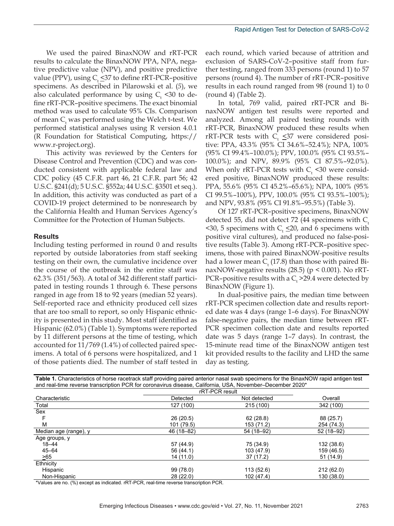We used the paired BinaxNOW and rRT-PCR results to calculate the BinaxNOW PPA, NPA, negative predictive value (NPV), and positive predictive value (PPV), using  $C_t \leq 37$  to define rRT-PCR–positive specimens. As described in Pilarowski et al. (*5*), we also calculated performance by using  $C_{t}$  <30 to define rRT-PCR–positive specimens. The exact binomial method was used to calculate 95% CIs. Comparison of mean  $C_{t}$  was performed using the Welch t-test. We performed statistical analyses using R version 4.0.1 (R Foundation for Statistical Computing, https:// www.r-project.org).

This activity was reviewed by the Centers for Disease Control and Prevention (CDC) and was conducted consistent with applicable federal law and CDC policy (45 C.F.R. part 46, 21 C.F.R. part 56; 42 U.S.C. §241(d); 5 U.S.C. §552a; 44 U.S.C. §3501 et seq.). In addition, this activity was conducted as part of a COVID-19 project determined to be nonresearch by the California Health and Human Services Agency's Committee for the Protection of Human Subjects.

#### **Results**

Including testing performed in round 0 and results reported by outside laboratories from staff seeking testing on their own, the cumulative incidence over the course of the outbreak in the entire staff was 62.3% (351/563). A total of 342 different staff participated in testing rounds 1 through 6. These persons ranged in age from 18 to 92 years (median 52 years). Self-reported race and ethnicity produced cell sizes that are too small to report, so only Hispanic ethnicity is presented in this study. Most staff identified as Hispanic (62.0%) (Table 1). Symptoms were reported by 11 different persons at the time of testing, which accounted for 11/769 (1.4%) of collected paired specimens. A total of 6 persons were hospitalized, and 1 of those patients died. The number of staff tested in

each round, which varied because of attrition and exclusion of SARS-CoV-2–positive staff from further testing, ranged from 333 persons (round 1) to 57 persons (round 4). The number of rRT-PCR–positive results in each round ranged from 98 (round 1) to 0 (round 4) (Table 2).

In total, 769 valid, paired rRT-PCR and BinaxNOW antigen test results were reported and analyzed. Among all paired testing rounds with rRT-PCR, BinaxNOW produced these results when rRT-PCR tests with  $C_t \leq 37$  were considered positive: PPA, 43.3% (95% CI 34.6%–52.4%); NPA, 100% (95% CI 99.4%–100.0%); PPV, 100.0% (95% CI 93.5%– 100.0%); and NPV, 89.9% (95% CI 87.5%–92.0%). When only rRT-PCR tests with  $C_{t}$  <30 were considered positive, BinaxNOW produced these results: PPA, 55.6% (95% CI 45.2%–65.6%); NPA, 100% (95% CI 99.5%–100%), PPV, 100.0% (95% CI 93.5%–100%); and NPV, 93.8% (95% CI 91.8%–95.5%) (Table 3).

Of 127 rRT-PCR–positive specimens, BinaxNOW detected 55, did not detect 72 (44 specimens with  $C_t$  $\leq$ 30, 5 specimens with C<sub>t</sub>  $\leq$ 20, and 6 specimens with positive viral cultures), and produced no false-positive results (Table 3). Among rRT-PCR–positive specimens, those with paired BinaxNOW-positive results had a lower mean  $C_{\text{t}}^{}\,(17.8)$  than those with paired BinaxNOW-negative results  $(28.5)$  (p < 0.001). No rRT-PCR-positive results with a  $C_{t}$  >29.4 were detected by BinaxNOW (Figure 1).

In dual-positive pairs, the median time between rRT-PCR specimen collection date and results reported date was 4 days (range 1–6 days). For BinaxNOW false-negative pairs, the median time between rRT-PCR specimen collection date and results reported date was 5 days (range 1–7 days). In contrast, the 15-minute read time of the BinaxNOW antigen test kit provided results to the facility and LHD the same day as testing.

| and real-time reverse transcription PCR for coronavirus disease, California, USA, November–December 2020* |                |              |            |  |
|-----------------------------------------------------------------------------------------------------------|----------------|--------------|------------|--|
|                                                                                                           | rRT-PCR result |              |            |  |
| Characteristic                                                                                            | Detected       | Not detected | Overall    |  |
| Total                                                                                                     | 127 (100)      | 215 (100)    | 342 (100)  |  |
| Sex                                                                                                       |                |              |            |  |
|                                                                                                           | 26(20.5)       | 62(28.8)     | 88 (25.7)  |  |
| М                                                                                                         | 101 (79.5)     | 153 (71.2)   | 254 (74.3) |  |
| Median age (range), y                                                                                     | 46 (18 - 82)   | 54 (18-92)   | 52 (18-92) |  |
| Age groups, y                                                                                             |                |              |            |  |
| $18 - 44$                                                                                                 | 57 (44.9)      | 75 (34.9)    | 132 (38.6) |  |
| 45-64                                                                                                     | 56 (44.1)      | 103 (47.9)   | 159 (46.5) |  |
| >65                                                                                                       | 14 (11.0)      | 37 (17.2)    | 51 (14.9)  |  |
| Ethnicity                                                                                                 |                |              |            |  |
| Hispanic                                                                                                  | 99 (78.0)      | 113 (52.6)   | 212(62.0)  |  |
| Non-Hispanic                                                                                              | 28 (22.0)      | 102 (47.4)   | 130 (38.0) |  |

**Table 1.** Characteristics of horse racetrack staff providing paired anterior nasal swab specimens for the BinaxNOW rapid antigen test and real-time reverse transcription PCR for coronavirus disease, California, USA, November–December 2020\*

\*Values are no. (%) except as indicated. rRT-PCR, real-time reverse transcription PCR.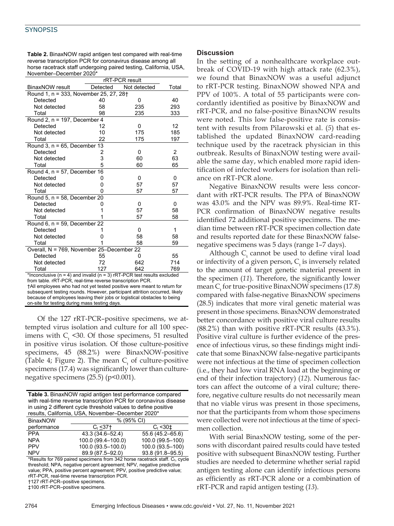#### **SYNOPSIS**

**Table 2.** BinaxNOW rapid antigen test compared with real-time reverse transcription PCR for coronavirus disease among all horse racetrack staff undergoing paired testing, California, USA, November–December 2020\*

|                                                                                                                                                       | rRT-PCR result |              |       |  |  |
|-------------------------------------------------------------------------------------------------------------------------------------------------------|----------------|--------------|-------|--|--|
| <b>BinaxNOW</b> result                                                                                                                                | Detected       | Not detected | Total |  |  |
| Round 1, n = 333, November 25, 27, 28†                                                                                                                |                |              |       |  |  |
| Detected                                                                                                                                              | 40             | 0            | 40    |  |  |
| Not detected                                                                                                                                          | 58             | 235          | 293   |  |  |
| Total                                                                                                                                                 | 98             | 235          | 333   |  |  |
| Round 2, $n = 197$ , December 4                                                                                                                       |                |              |       |  |  |
| Detected                                                                                                                                              | 12             | 0            | 12    |  |  |
| Not detected                                                                                                                                          | 10             | 175          | 185   |  |  |
| Total                                                                                                                                                 | 22             | 175          | 197   |  |  |
| Round 3, $n = 65$ , December 13                                                                                                                       |                |              |       |  |  |
| Detected                                                                                                                                              | 2              | 0            | 2     |  |  |
| Not detected                                                                                                                                          | 3              | 60           | 63    |  |  |
| Total                                                                                                                                                 | 5              | 60           | 65    |  |  |
| Round 4, $n = 57$ , December 16                                                                                                                       |                |              |       |  |  |
| Detected                                                                                                                                              |                | 0            | 0     |  |  |
| Not detected                                                                                                                                          | ი              | 57           | 57    |  |  |
| Total                                                                                                                                                 | Ω              | 57           | 57    |  |  |
| Round 5, $n = 58$ , December 20                                                                                                                       |                |              |       |  |  |
| Detected                                                                                                                                              |                | 0            | 0     |  |  |
| Not detected                                                                                                                                          |                | 57           | 58    |  |  |
| Total                                                                                                                                                 |                | 57           | 58    |  |  |
| Round 6, $n = 59$ , December 22                                                                                                                       |                |              |       |  |  |
| Detected                                                                                                                                              |                | 0            | 1     |  |  |
| Not detected                                                                                                                                          | O              | 58           | 58    |  |  |
| Total                                                                                                                                                 |                | 58           | 59    |  |  |
| Overall, N = 769, November 25-December 22                                                                                                             |                |              |       |  |  |
| Detected                                                                                                                                              | 55             | 0            | 55    |  |  |
| Not detected                                                                                                                                          | 72             | 642          | 714   |  |  |
| Total                                                                                                                                                 | 127            | 642          | 769   |  |  |
| *Inconclusive ( $n = 4$ ) and invalid ( $n = 3$ ) rRT-PCR test results excluded                                                                       |                |              |       |  |  |
| from table. rRT-PCR, real-time reverse transcription PCR.                                                                                             |                |              |       |  |  |
| †All employees who had not yet tested positive were meant to return for<br>oubooquant tooting rounde. However, participant offrition coourred, likely |                |              |       |  |  |

nt testing round because of employees leaving their jobs or logistical obstacles to being on-site for testing during mass testing days.

Of the 127 rRT-PCR–positive specimens, we attempted virus isolation and culture for all 100 specimens with  $C_t$  <30. Of those specimens, 51 resulted in positive virus isolation. Of those culture-positive specimens, 45 (88.2%) were BinaxNOW-positive (Table 4; Figure 2). The mean  $C_t$  of culture-positive specimens (17.4) was significantly lower than culturenegative specimens  $(25.5)$  (p<0.001).

| Table 3. BinaxNOW rapid antigen test performance compared<br>with real-time reverse transcription PCR for coronavirus disease<br>in using 2 different cycle threshold values to define positive<br>results, California, USA, November-December 2020* |                      |                    |  |  |
|------------------------------------------------------------------------------------------------------------------------------------------------------------------------------------------------------------------------------------------------------|----------------------|--------------------|--|--|
| <b>BinaxNOW</b>                                                                                                                                                                                                                                      | % (95% CI)           |                    |  |  |
| performance                                                                                                                                                                                                                                          | $C_t$ < 37 $\dagger$ | $C_{t}$ < 30 $\pm$ |  |  |
| <b>PPA</b>                                                                                                                                                                                                                                           | 43.3 (34.6-52.4)     | 55.6 (45.2-65.6)   |  |  |
| <b>NPA</b>                                                                                                                                                                                                                                           | 100.0 (99.4-100.0)   | 100.0 (99.5-100)   |  |  |
| <b>PPV</b>                                                                                                                                                                                                                                           | 100.0 (93.5-100.0)   | 100.0 (93.5-100)   |  |  |
| <b>NPV</b>                                                                                                                                                                                                                                           | 89.9 (87.5-92.0)     | 93.8 (91.8-95.5)   |  |  |
| $*D \rightarrow 0$ . The $700$ solved as the set from $0.40$ keeps as the distribution of $D$ and $\rightarrow$                                                                                                                                      |                      |                    |  |  |

Results for 769 paired specimens from 342 horse racetrack staff.  $C_t$ , cycle threshold; NPA, negative percent agreement; NPV, negative predictive value; PPA, positive percent agreement; PPV, positive predictive value; rRT-PCR, real-time reverse transcription PCR. †127 rRT-PCR–positive specimens.

‡100 rRT-PCR–positive specimens.

#### **Discussion**

In the setting of a nonhealthcare workplace outbreak of COVID-19 with high attack rate (62.3%), we found that BinaxNOW was a useful adjunct to rRT-PCR testing. BinaxNOW showed NPA and PPV of 100%. A total of 55 participants were concordantly identified as positive by BinaxNOW and rRT-PCR, and no false-positive BinaxNOW results were noted. This low false-positive rate is consistent with results from Pilarowski et al. (*5*) that established the updated BinaxNOW card-reading technique used by the racetrack physician in this outbreak. Results of BinaxNOW testing were available the same day, which enabled more rapid identification of infected workers for isolation than reliance on rRT-PCR alone.

Negative BinaxNOW results were less concordant with rRT-PCR results. The PPA of BinaxNOW was 43.0% and the NPV was 89.9%. Real-time RT-PCR confirmation of BinaxNOW negative results identified 72 additional positive specimens. The median time between rRT-PCR specimen collection date and results reported date for these BinaxNOW falsenegative specimens was 5 days (range 1–7 days).

Although  $C_t$  cannot be used to define viral load or infectivity of a given person,  $C_{t}$  is inversely related to the amount of target genetic material present in the specimen (*11*). Therefore, the significantly lower mean  $C_{t}$  for true-positive BinaxNOW specimens (17.8) compared with false-negative BinaxNOW specimens (28.5) indicates that more viral genetic material was present in those specimens. BinaxNOW demonstrated better concordance with positive viral culture results (88.2%) than with positive rRT-PCR results (43.3%). Positive viral culture is further evidence of the presence of infectious virus, so these findings might indicate that some BinaxNOW false-negative participants were not infectious at the time of specimen collection (i.e., they had low viral RNA load at the beginning or end of their infection trajectory) (*12*). Numerous factors can affect the outcome of a viral culture; therefore, negative culture results do not necessarily mean that no viable virus was present in those specimens, nor that the participants from whom those specimens were collected were not infectious at the time of specimen collection.

With serial BinaxNOW testing, some of the persons with discordant paired results could have tested positive with subsequent BinaxNOW testing. Further studies are needed to determine whether serial rapid antigen testing alone can identify infectious persons as efficiently as rRT-PCR alone or a combination of rRT-PCR and rapid antigen testing (*13*).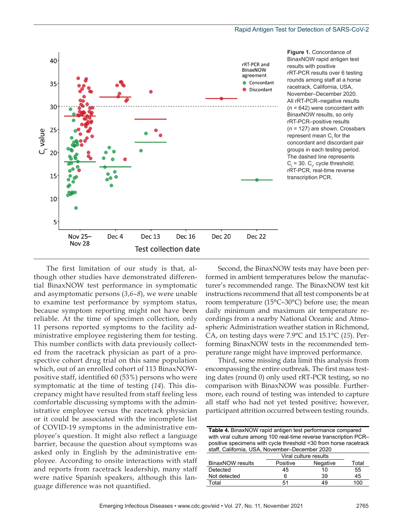

The first limitation of our study is that, although other studies have demonstrated differential BinaxNOW test performance in symptomatic and asymptomatic persons (*3*,*6*–*8*), we were unable to examine test performance by symptom status, because symptom reporting might not have been reliable. At the time of specimen collection, only 11 persons reported symptoms to the facility administrative employee registering them for testing. This number conflicts with data previously collected from the racetrack physician as part of a prospective cohort drug trial on this same population which, out of an enrolled cohort of 113 BinaxNOWpositive staff, identified 60 (53%) persons who were symptomatic at the time of testing (*14*). This discrepancy might have resulted from staff feeling less comfortable discussing symptoms with the administrative employee versus the racetrack physician or it could be associated with the incomplete list of COVID-19 symptoms in the administrative employee's question. It might also reflect a language barrier, because the question about symptoms was asked only in English by the administrative employee. According to onsite interactions with staff and reports from racetrack leadership, many staff were native Spanish speakers, although this language difference was not quantified.

Second, the BinaxNOW tests may have been performed in ambient temperatures below the manufacturer's recommended range. The BinaxNOW test kit instructions recommend that all test components be at room temperature (15°C–30°C) before use; the mean daily minimum and maximum air temperature recordings from a nearby National Oceanic and Atmospheric Administration weather station in Richmond, CA, on testing days were 7.9°C and 15.1°C (*15*). Performing BinaxNOW tests in the recommended temperature range might have improved performance.

Third, some missing data limit this analysis from encompassing the entire outbreak. The first mass testing dates (round 0) only used rRT-PCR testing, so no comparison with BinaxNOW was possible. Furthermore, each round of testing was intended to capture all staff who had not yet tested positive; however, participant attrition occurred between testing rounds.

**Table 4.** BinaxNOW rapid antigen test performance compared with viral culture among 100 real-time reverse transcription PCR– positive specimens with cycle threshold <30 from horse racetrack staff, California, USA, November–December 2020

|                         | Viral culture results |          |       |
|-------------------------|-----------------------|----------|-------|
| <b>BinaxNOW</b> results | Positive              | Negative | Total |
| Detected                | 45                    | 10       | 55    |
| Not detected            | 6                     | 39       | 45    |
| Total                   | 51                    | 49       | 100   |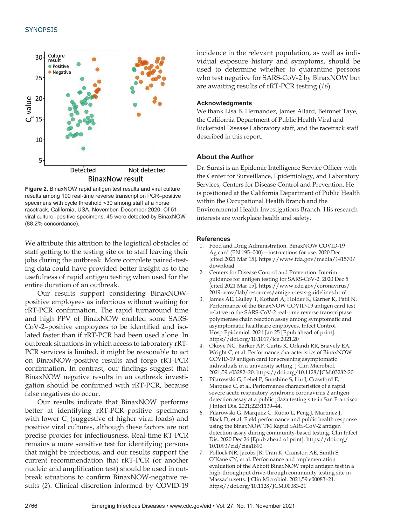#### **SYNOPSIS**



**Figure 2.** BinaxNOW rapid antigen test results and viral culture results among 100 real-time reverse transcription PCR–positive specimens with cycle threshold <30 among staff at a horse racetrack, California, USA, November–December 2020. Of 51 viral culture–positive specimens, 45 were detected by BinaxNOW (88.2% concordance).

We attribute this attrition to the logistical obstacles of staff getting to the testing site or to staff leaving their jobs during the outbreak. More complete paired-testing data could have provided better insight as to the usefulness of rapid antigen testing when used for the entire duration of an outbreak.

Our results support considering BinaxNOWpositive employees as infectious without waiting for rRT-PCR confirmation. The rapid turnaround time and high PPV of BinaxNOW enabled some SARS-CoV-2–positive employees to be identified and isolated faster than if rRT-PCR had been used alone. In outbreak situations in which access to laboratory rRT-PCR services is limited, it might be reasonable to act on BinaxNOW-positive results and forgo rRT-PCR confirmation. In contrast, our findings suggest that BinaxNOW negative results in an outbreak investigation should be confirmed with rRT-PCR, because false negatives do occur.

Our results indicate that BinaxNOW performs better at identifying rRT-PCR–positive specimens with lower  $C_{t}$  (suggestive of higher viral loads) and positive viral cultures, although these factors are not precise proxies for infectiousness. Real-time RT-PCR remains a more sensitive test for identifying persons that might be infectious, and our results support the current recommendation that rRT-PCR (or another nucleic acid amplification test) should be used in outbreak situations to confirm BinaxNOW-negative results (*2*). Clinical discretion informed by COVID-19

incidence in the relevant population, as well as individual exposure history and symptoms, should be used to determine whether to quarantine persons who test negative for SARS-CoV-2 by BinaxNOW but are awaiting results of rRT-PCR testing (*16*).

#### **Acknowledgments**

We thank Lisa B. Hernandez, James Allard, Beimnet Taye, the California Department of Public Health Viral and Rickettsial Disease Laboratory staff, and the racetrack staff described in this report.

#### **About the Author**

Dr. Surasi is an Epidemic Intelligence Service Officer with the Center for Surveillance, Epidemiology, and Laboratory Services, Centers for Disease Control and Prevention. He is positioned at the California Department of Public Health within the Occupational Health Branch and the Environmental Health Investigations Branch. His research interests are workplace health and safety.

#### **References**

- 1. Food and Drug Administration. BinaxNOW COVID-19 Ag card (PN 195–000)—instructions for use. 2020 Dec [cited 2021 Mar 15]. https://www.fda.gov/media/141570/ download
- 2. Centers for Disease Control and Prevention. Interim guidance for antigen testing for SARS-CoV-2. 2020 Dec 5 [cited 2021 Mar 15]. https://www.cdc.gov/coronavirus/ 2019-ncov/lab/resources/antigen-tests-guidelines.html
- 3. James AE, Gulley T, Kothari A, Holder K, Garner K, Patil N. Performance of the BinaxNOW COVID-19 antigen card test relative to the SARS-CoV-2 real-time reverse transcriptase polymerase chain reaction assay among symptomatic and asymptomatic healthcare employees. Infect Control Hosp Epidemiol. 2021 Jan 25 [Epub ahead of print]. https://doi.org/10.1017/ice.2021.20
- 4. Okoye NC, Barker AP, Curtis K, Orlandi RR, Snavely EA, Wright C, et al. Performance characteristics of BinaxNOW COVID-19 antigen card for screening asymptomatic individuals in a university setting. J Clin Microbiol. 2021;59:e03282–20. https://doi.org/10.1128/JCM.03282-20
- 5. Pilarowski G, Lebel P, Sunshine S, Liu J, Crawford E, Marquez C, et al. Performance characteristics of a rapid severe acute respiratory syndrome coronavirus 2 antigen detection assay at a public plaza testing site in San Francisco. J Infect Dis. 2021;223:1139–44.
- 6. Pilarowski G, Marquez C, Rubio L, Peng J, Martinez J, Black D, et al. Field performance and public health response using the BinaxNOW TM Rapid SARS-CoV-2 antigen detection assay during community-based testing. Clin Infect Dis. 2020 Dec 26 [Epub ahead of print]. https://doi.org/ 10.1093/cid/ciaa1890
- 7. Pollock NR, Jacobs JR, Tran K, Cranston AE, Smith S, O'Kane CY, et al. Performance and implementation evaluation of the Abbott BinaxNOW rapid antigen test in a high-throughput drive-through community testing site in Massachusetts. J Clin Microbiol. 2021;59:e00083–21. https://doi.org/10.1128/JCM.00083-21